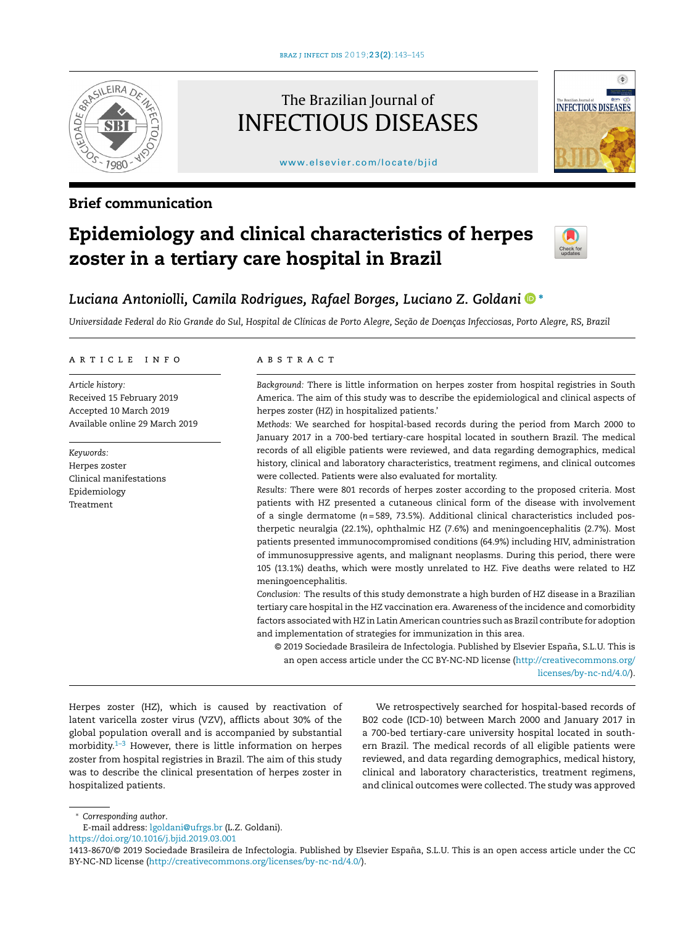

### Brief communication

## The Brazilian Journal of INFECTIOUS DISEASES

#### [www.elsevier.com/locate/bjid](http://www.elsevier.com/locate/bjid)



# Epidemiology and clinical characteristics of herpes zoster in a tertiary care hospital in Brazil



## *Luciana Antoniolli, Camila Rodrigues, Rafael Borges, Luciano Z. Goldani* <sup>∗</sup>

Universidade Federal do Rio Grande do Sul, Hospital de Clínicas de Porto Alegre, Seção de Doenças Infecciosas, Porto Alegre, RS, Brazil

#### ARTICLE INFO

*Article history:* Received 15 February 2019 Accepted 10 March 2019 Available online 29 March 2019

*Keywords:* Herpes zoster Clinical manifestations Epidemiology Treatment

#### a b s t r a c t

*Background:* There is little information on herpes zoster from hospital registries in South America. The aim of this study was to describe the epidemiological and clinical aspects of herpes zoster (HZ) in hospitalized patients.'

*Methods:* We searched for hospital-based records during the period from March 2000 to January 2017 in a 700-bed tertiary-care hospital located in southern Brazil. The medical records of all eligible patients were reviewed, and data regarding demographics, medical history, clinical and laboratory characteristics, treatment regimens, and clinical outcomes were collected. Patients were also evaluated for mortality.

*Results:* There were 801 records of herpes zoster according to the proposed criteria. Most patients with HZ presented a cutaneous clinical form of the disease with involvement of a single dermatome (*n* = 589, 73.5%). Additional clinical characteristics included postherpetic neuralgia (22.1%), ophthalmic HZ (7.6%) and meningoencephalitis (2.7%). Most patients presented immunocompromised conditions (64.9%) including HIV, administration of immunosuppressive agents, and malignant neoplasms. During this period, there were 105 (13.1%) deaths, which were mostly unrelated to HZ. Five deaths were related to HZ meningoencephalitis.

*Conclusion:* The results of this study demonstrate a high burden of HZ disease in a Brazilian tertiary care hospital in the HZ vaccination era. Awareness of the incidence and comorbidity factors associated with HZ in Latin American countries such as Brazil contribute for adoption and implementation of strategies for immunization in this area.

© 2019 Sociedade Brasileira de Infectologia. Published by Elsevier España, S.L.U. This is an open access article under the CC BY-NC-ND license [\(http://creativecommons.org/](http://creativecommons.org/licenses/by-nc-nd/4.0/) [licenses/by-nc-nd/4.0/\)](http://creativecommons.org/licenses/by-nc-nd/4.0/).

Herpes zoster (HZ), which is caused by reactivation of latent varicella zoster virus (VZV), afflicts about 30% of the global population overall and is accompanied by substantial morbidity. $1-3$  However, there is little information on herpes zoster from hospital registries in Brazil. The aim of this study was to describe the clinical presentation of herpes zoster in hospitalized patients.

We retrospectively searched for hospital-based records of B02 code (ICD-10) between March 2000 and January 2017 in a 700-bed tertiary-care university hospital located in southern Brazil. The medical records of all eligible patients were reviewed, and data regarding demographics, medical history, clinical and laboratory characteristics, treatment regimens, and clinical outcomes were collected. The study was approved

<sup>∗</sup> *Corresponding author*.

E-mail address: [lgoldani@ufrgs.br](mailto:lgoldani@ufrgs.br) (L.Z. Goldani).

<https://doi.org/10.1016/j.bjid.2019.03.001>

<sup>1413-8670/© 2019</sup> Sociedade Brasileira de Infectologia. Published by Elsevier España, S.L.U. This is an open access article under the CC BY-NC-ND license (<http://creativecommons.org/licenses/by-nc-nd/4.0/>).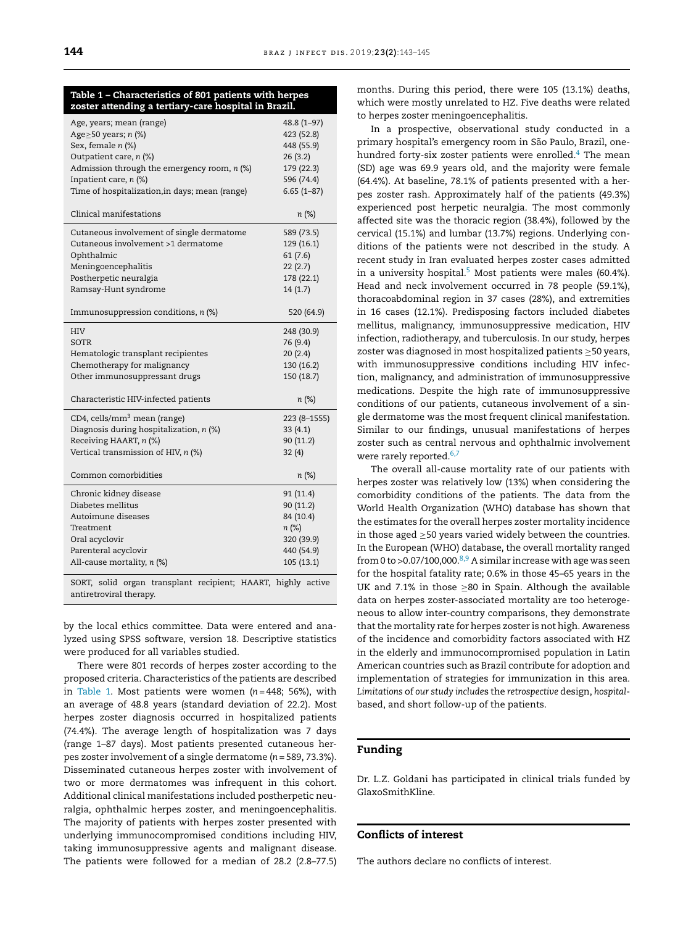#### Table 1 – Characteristics of 801 patients with herpes zoster attending a tertiary-care hospital in Brazil.

| Age, years; mean (range)<br>Age $\geq$ 50 years; n (%)<br>Sex, female n (%)<br>Outpatient care, n (%)<br>Admission through the emergency room, $n$ (%)<br>Inpatient care, $n$ (%)<br>Time of hospitalization, in days; mean (range) | 48.8 (1-97)<br>423 (52.8)<br>448 (55.9)<br>26(3.2)<br>179 (22.3)<br>596 (74.4)<br>$6.65(1 - 87)$ |
|-------------------------------------------------------------------------------------------------------------------------------------------------------------------------------------------------------------------------------------|--------------------------------------------------------------------------------------------------|
| Clinical manifestations                                                                                                                                                                                                             | $n (\%)$                                                                                         |
| Cutaneous involvement of single dermatome<br>Cutaneous involvement >1 dermatome<br>Ophthalmic<br>Meningoencephalitis<br>Postherpetic neuralgia<br>Ramsay-Hunt syndrome<br>Immunosuppression conditions, $n$ (%)                     | 589 (73.5)<br>129 (16.1)<br>61(7.6)<br>22(2.7)<br>178 (22.1)<br>14(1.7)<br>520 (64.9)            |
| <b>HIV</b>                                                                                                                                                                                                                          | 248 (30.9)                                                                                       |
| SOTR<br>Hematologic transplant recipientes                                                                                                                                                                                          | 76 (9.4)<br>20(2.4)                                                                              |
| Chemotherapy for malignancy                                                                                                                                                                                                         | 130 (16.2)                                                                                       |
| Other immunosuppressant drugs                                                                                                                                                                                                       | 150 (18.7)                                                                                       |
| Characteristic HIV-infected patients                                                                                                                                                                                                | n (%)                                                                                            |
| CD4, cells/mm <sup>3</sup> mean (range)                                                                                                                                                                                             | 223 (8-1555)                                                                                     |
| Diagnosis during hospitalization, n (%)                                                                                                                                                                                             | 33(4.1)                                                                                          |
| Receiving HAART, n (%)                                                                                                                                                                                                              | 90 (11.2)                                                                                        |
| Vertical transmission of HIV, n (%)                                                                                                                                                                                                 | 32(4)                                                                                            |
| Common comorbidities                                                                                                                                                                                                                | $n (\%)$                                                                                         |
| Chronic kidney disease                                                                                                                                                                                                              | 91 (11.4)                                                                                        |
| Diabetes mellitus                                                                                                                                                                                                                   | 90 (11.2)                                                                                        |
| Autoimune diseases                                                                                                                                                                                                                  | 84 (10.4)                                                                                        |
| Treatment                                                                                                                                                                                                                           | n (%)                                                                                            |
| Oral acyclovir                                                                                                                                                                                                                      | 320 (39.9)                                                                                       |
| Parenteral acyclovir                                                                                                                                                                                                                | 440 (54.9)                                                                                       |
| All-cause mortality, n (%)                                                                                                                                                                                                          | 105 (13.1)                                                                                       |
| solid organ transplant recipient; HAART, highly active<br>SORT,                                                                                                                                                                     |                                                                                                  |

by the local ethics committee. Data were entered and analyzed using SPSS software, version 18. Descriptive statistics

antiretroviral therapy.

were produced for all variables studied. There were 801 records of herpes zoster according to the proposed criteria. Characteristics of the patients are described in Table 1. Most patients were women (*n* = 448; 56%), with an average of 48.8 years (standard deviation of 22.2). Most herpes zoster diagnosis occurred in hospitalized patients (74.4%). The average length of hospitalization was 7 days (range 1–87 days). Most patients presented cutaneous herpes zoster involvement of a single dermatome (*n* = 589, 73.3%). Disseminated cutaneous herpes zoster with involvement of two or more dermatomes was infrequent in this cohort. Additional clinical manifestations included postherpetic neuralgia, ophthalmic herpes zoster, and meningoencephalitis. The majority of patients with herpes zoster presented with underlying immunocompromised conditions including HIV, taking immunosuppressive agents and malignant disease. The patients were followed for a median of 28.2 (2.8–77.5)

months. During this period, there were 105 (13.1%) deaths, which were mostly unrelated to HZ. Five deaths were related to herpes zoster meningoencephalitis.

In a prospective, observational study conducted in a primary hospital's emergency room in São Paulo, Brazil, one-hundred forty-six zoster patients were enrolled.<sup>[4](#page-2-0)</sup> The mean (SD) age was 69.9 years old, and the majority were female (64.4%). At baseline, 78.1% of patients presented with a herpes zoster rash. Approximately half of the patients (49.3%) experienced post herpetic neuralgia. The most commonly affected site was the thoracic region (38.4%), followed by the cervical (15.1%) and lumbar (13.7%) regions. Underlying conditions of the patients were not described in the study. A recent study in Iran evaluated herpes zoster cases admitted in a university hospital.<sup>[5](#page-2-0)</sup> Most patients were males (60.4%). Head and neck involvement occurred in 78 people (59.1%), thoracoabdominal region in 37 cases (28%), and extremities in 16 cases (12.1%). Predisposing factors included diabetes mellitus, malignancy, immunosuppressive medication, HIV infection, radiotherapy, and tuberculosis. In our study, herpes zoster was diagnosed in most hospitalized patients ≥50 years, with immunosuppressive conditions including HIV infection, malignancy, and administration of immunosuppressive medications. Despite the high rate of immunosuppressive conditions of our patients, cutaneous involvement of a single dermatome was the most frequent clinical manifestation. Similar to our findings, unusual manifestations of herpes zoster such as central nervous and ophthalmic involvement were rarely reported. $6,7$ 

The overall all-cause mortality rate of our patients with herpes zoster was relatively low (13%) when considering the comorbidity conditions of the patients. The data from the World Health Organization (WHO) database has shown that the estimates for the overall herpes zoster mortality incidence in those aged  $\geq$ 50 years varied widely between the countries. In the European (WHO) database, the overall mortality ranged from 0 to >0.07/100,000. $8,9$  A similar increase with age was seen for the hospital fatality rate; 0.6% in those 45–65 years in the UK and 7.1% in those  $\geq 80$  in Spain. Although the available data on herpes zoster-associated mortality are too heterogeneous to allow inter-country comparisons, they demonstrate that the mortality rate for herpes zoster is not high. Awareness of the incidence and comorbidity factors associated with HZ in the elderly and immunocompromised population in Latin American countries such as Brazil contribute for adoption and implementation of strategies for immunization in this area. *Limitations* of *our study include*s the *retrospective* design, *hospital*based, and short follow-up of the patients.

#### Funding

Dr. L.Z. Goldani has participated in clinical trials funded by GlaxoSmithKline.

#### Conflicts of interest

The authors declare no conflicts of interest.